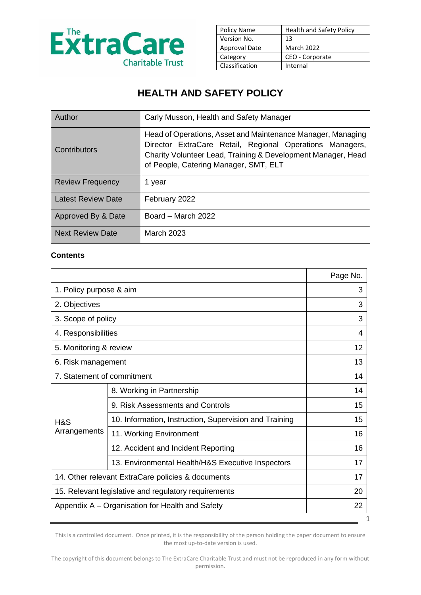

| Policy Name          | <b>Health and Safety Policy</b> |
|----------------------|---------------------------------|
| Version No.          | 13                              |
| <b>Approval Date</b> | <b>March 2022</b>               |
| Category             | CEO - Corporate                 |
| Classification       | Internal                        |

# **HEALTH AND SAFETY POLICY**

| Author                    | Carly Musson, Health and Safety Manager                                                                                                                                                                                          |
|---------------------------|----------------------------------------------------------------------------------------------------------------------------------------------------------------------------------------------------------------------------------|
| Contributors              | Head of Operations, Asset and Maintenance Manager, Managing<br>Director ExtraCare Retail, Regional Operations Managers,<br>Charity Volunteer Lead, Training & Development Manager, Head<br>of People, Catering Manager, SMT, ELT |
| <b>Review Frequency</b>   | 1 year                                                                                                                                                                                                                           |
| <b>Latest Review Date</b> | February 2022                                                                                                                                                                                                                    |
| Approved By & Date        | Board - March 2022                                                                                                                                                                                                               |
| <b>Next Review Date</b>   | <b>March 2023</b>                                                                                                                                                                                                                |

#### **Contents**

|                                                      |                                                        | Page No. |
|------------------------------------------------------|--------------------------------------------------------|----------|
| 1. Policy purpose & aim                              |                                                        | 3        |
| 2. Objectives                                        |                                                        | 3        |
| 3. Scope of policy                                   |                                                        | 3        |
| 4. Responsibilities                                  |                                                        | 4        |
| 5. Monitoring & review                               |                                                        | 12       |
| 6. Risk management                                   |                                                        | 13       |
| 7. Statement of commitment                           |                                                        | 14       |
|                                                      | 8. Working in Partnership                              | 14       |
|                                                      | 9. Risk Assessments and Controls                       | 15       |
| H&S                                                  | 10. Information, Instruction, Supervision and Training | 15       |
| Arrangements                                         | 11. Working Environment                                | 16       |
|                                                      | 12. Accident and Incident Reporting                    | 16       |
|                                                      | 13. Environmental Health/H&S Executive Inspectors      | 17       |
| 14. Other relevant ExtraCare policies & documents    |                                                        | 17       |
| 15. Relevant legislative and regulatory requirements |                                                        | 20       |
| Appendix A – Organisation for Health and Safety      |                                                        | 22       |
|                                                      |                                                        | 1        |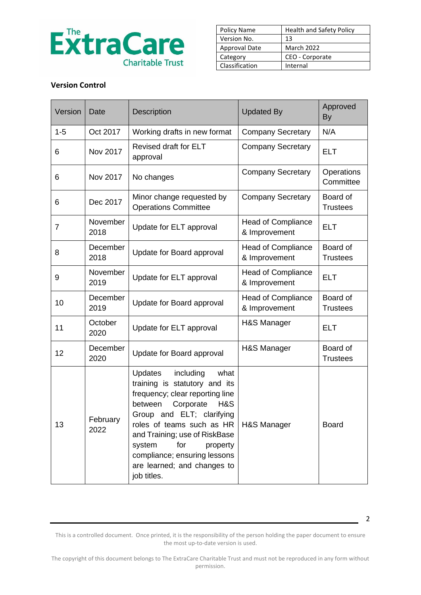

| Policy Name    | <b>Health and Safety Policy</b> |
|----------------|---------------------------------|
| Version No.    | 13                              |
| Approval Date  | <b>March 2022</b>               |
| Category       | CEO - Corporate                 |
| Classification | Internal                        |

#### **Version Control**

| Version | Date             | <b>Description</b>                                                                                                                                                                                                                                                                                                                           | <b>Updated By</b>                          | Approved<br>By              |
|---------|------------------|----------------------------------------------------------------------------------------------------------------------------------------------------------------------------------------------------------------------------------------------------------------------------------------------------------------------------------------------|--------------------------------------------|-----------------------------|
| $1 - 5$ | Oct 2017         | Working drafts in new format                                                                                                                                                                                                                                                                                                                 | <b>Company Secretary</b>                   | N/A                         |
| 6       | Nov 2017         | <b>Revised draft for ELT</b><br>approval                                                                                                                                                                                                                                                                                                     | <b>Company Secretary</b>                   | <b>ELT</b>                  |
| 6       | Nov 2017         | No changes                                                                                                                                                                                                                                                                                                                                   | <b>Company Secretary</b>                   | Operations<br>Committee     |
| 6       | Dec 2017         | Minor change requested by<br><b>Operations Committee</b>                                                                                                                                                                                                                                                                                     | <b>Company Secretary</b>                   | Board of<br><b>Trustees</b> |
| 7       | November<br>2018 | Update for ELT approval                                                                                                                                                                                                                                                                                                                      | <b>Head of Compliance</b><br>& Improvement | <b>ELT</b>                  |
| 8       | December<br>2018 | Update for Board approval                                                                                                                                                                                                                                                                                                                    | <b>Head of Compliance</b><br>& Improvement | Board of<br><b>Trustees</b> |
| 9       | November<br>2019 | Update for ELT approval                                                                                                                                                                                                                                                                                                                      | <b>Head of Compliance</b><br>& Improvement | <b>ELT</b>                  |
| 10      | December<br>2019 | Update for Board approval                                                                                                                                                                                                                                                                                                                    | <b>Head of Compliance</b><br>& Improvement | Board of<br><b>Trustees</b> |
| 11      | October<br>2020  | Update for ELT approval                                                                                                                                                                                                                                                                                                                      | H&S Manager                                | <b>ELT</b>                  |
| 12      | December<br>2020 | Update for Board approval                                                                                                                                                                                                                                                                                                                    | H&S Manager                                | Board of<br><b>Trustees</b> |
| 13      | February<br>2022 | <b>Updates</b><br>what<br>including<br>training is statutory and its<br>frequency; clear reporting line<br>between<br>Corporate<br>H&S<br>Group and ELT; clarifying<br>roles of teams such as HR<br>and Training; use of RiskBase<br>for<br>system<br>property<br>compliance; ensuring lessons<br>are learned; and changes to<br>job titles. | H&S Manager                                | <b>Board</b>                |

This is a controlled document. Once printed, it is the responsibility of the person holding the paper document to ensure the most up-to-date version is used.

2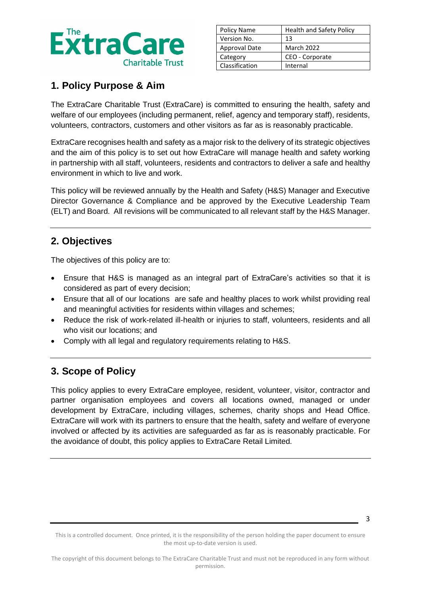

| Policy Name    | <b>Health and Safety Policy</b> |
|----------------|---------------------------------|
| Version No.    | 13                              |
| Approval Date  | March 2022                      |
| Category       | CEO - Corporate                 |
| Classification | Internal                        |

# **1. Policy Purpose & Aim**

The ExtraCare Charitable Trust (ExtraCare) is committed to ensuring the health, safety and welfare of our employees (including permanent, relief, agency and temporary staff), residents, volunteers, contractors, customers and other visitors as far as is reasonably practicable.

ExtraCare recognises health and safety as a major risk to the delivery of its strategic objectives and the aim of this policy is to set out how ExtraCare will manage health and safety working in partnership with all staff, volunteers, residents and contractors to deliver a safe and healthy environment in which to live and work.

This policy will be reviewed annually by the Health and Safety (H&S) Manager and Executive Director Governance & Compliance and be approved by the Executive Leadership Team (ELT) and Board. All revisions will be communicated to all relevant staff by the H&S Manager.

# **2. Objectives**

The objectives of this policy are to:

- Ensure that H&S is managed as an integral part of ExtraCare's activities so that it is considered as part of every decision;
- Ensure that all of our locations are safe and healthy places to work whilst providing real and meaningful activities for residents within villages and schemes;
- Reduce the risk of work-related ill-health or injuries to staff, volunteers, residents and all who visit our locations; and
- Comply with all legal and regulatory requirements relating to H&S.

# **3. Scope of Policy**

This policy applies to every ExtraCare employee, resident, volunteer, visitor, contractor and partner organisation employees and covers all locations owned, managed or under development by ExtraCare, including villages, schemes, charity shops and Head Office. ExtraCare will work with its partners to ensure that the health, safety and welfare of everyone involved or affected by its activities are safeguarded as far as is reasonably practicable. For the avoidance of doubt, this policy applies to ExtraCare Retail Limited.

3

This is a controlled document. Once printed, it is the responsibility of the person holding the paper document to ensure the most up-to-date version is used.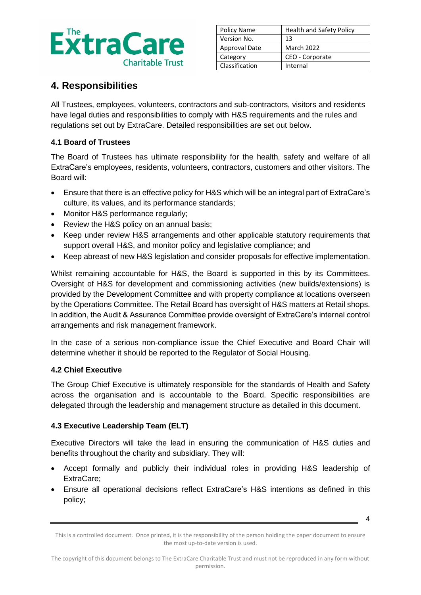

| Policy Name    | <b>Health and Safety Policy</b> |
|----------------|---------------------------------|
| Version No.    | 13                              |
| Approval Date  | <b>March 2022</b>               |
| Category       | CEO - Corporate                 |
| Classification | Internal                        |

# **4. Responsibilities**

All Trustees, employees, volunteers, contractors and sub-contractors, visitors and residents have legal duties and responsibilities to comply with H&S requirements and the rules and regulations set out by ExtraCare. Detailed responsibilities are set out below.

### **4.1 Board of Trustees**

The Board of Trustees has ultimate responsibility for the health, safety and welfare of all ExtraCare's employees, residents, volunteers, contractors, customers and other visitors. The Board will:

- Ensure that there is an effective policy for H&S which will be an integral part of ExtraCare's culture, its values, and its performance standards;
- Monitor H&S performance regularly:
- Review the H&S policy on an annual basis;
- Keep under review H&S arrangements and other applicable statutory requirements that support overall H&S, and monitor policy and legislative compliance; and
- Keep abreast of new H&S legislation and consider proposals for effective implementation.

Whilst remaining accountable for H&S, the Board is supported in this by its Committees. Oversight of H&S for development and commissioning activities (new builds/extensions) is provided by the Development Committee and with property compliance at locations overseen by the Operations Committee. The Retail Board has oversight of H&S matters at Retail shops. In addition, the Audit & Assurance Committee provide oversight of ExtraCare's internal control arrangements and risk management framework.

In the case of a serious non-compliance issue the Chief Executive and Board Chair will determine whether it should be reported to the Regulator of Social Housing.

### **4.2 Chief Executive**

The Group Chief Executive is ultimately responsible for the standards of Health and Safety across the organisation and is accountable to the Board. Specific responsibilities are delegated through the leadership and management structure as detailed in this document.

### **4.3 Executive Leadership Team (ELT)**

Executive Directors will take the lead in ensuring the communication of H&S duties and benefits throughout the charity and subsidiary. They will:

- Accept formally and publicly their individual roles in providing H&S leadership of ExtraCare;
- Ensure all operational decisions reflect ExtraCare's H&S intentions as defined in this policy;

This is a controlled document. Once printed, it is the responsibility of the person holding the paper document to ensure the most up-to-date version is used.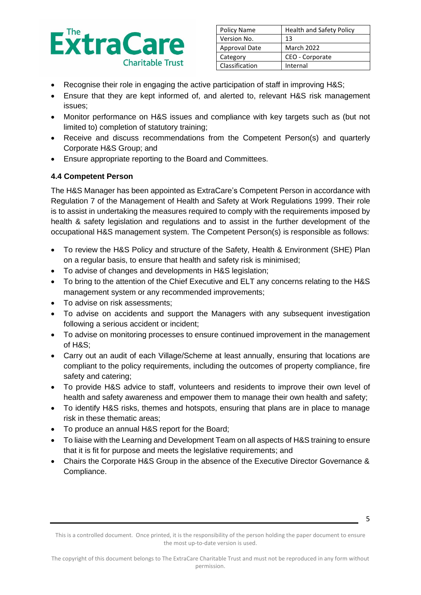

| Policy Name    | <b>Health and Safety Policy</b> |
|----------------|---------------------------------|
| Version No.    | 13                              |
| Approval Date  | <b>March 2022</b>               |
| Category       | CEO - Corporate                 |
| Classification | Internal                        |

- Recognise their role in engaging the active participation of staff in improving H&S;
- Ensure that they are kept informed of, and alerted to, relevant H&S risk management issues;
- Monitor performance on H&S issues and compliance with key targets such as (but not limited to) completion of statutory training;
- Receive and discuss recommendations from the Competent Person(s) and quarterly Corporate H&S Group; and
- Ensure appropriate reporting to the Board and Committees.

#### **4.4 Competent Person**

The H&S Manager has been appointed as ExtraCare's Competent Person in accordance with Regulation 7 of the Management of Health and Safety at Work Regulations 1999. Their role is to assist in undertaking the measures required to comply with the requirements imposed by health & safety legislation and regulations and to assist in the further development of the occupational H&S management system. The Competent Person(s) is responsible as follows:

- To review the H&S Policy and structure of the Safety, Health & Environment (SHE) Plan on a regular basis, to ensure that health and safety risk is minimised;
- To advise of changes and developments in H&S legislation;
- To bring to the attention of the Chief Executive and ELT any concerns relating to the H&S management system or any recommended improvements;
- To advise on risk assessments;
- To advise on accidents and support the Managers with any subsequent investigation following a serious accident or incident;
- To advise on monitoring processes to ensure continued improvement in the management of H&S;
- Carry out an audit of each Village/Scheme at least annually, ensuring that locations are compliant to the policy requirements, including the outcomes of property compliance, fire safety and catering;
- To provide H&S advice to staff, volunteers and residents to improve their own level of health and safety awareness and empower them to manage their own health and safety;
- To identify H&S risks, themes and hotspots, ensuring that plans are in place to manage risk in these thematic areas;
- To produce an annual H&S report for the Board;
- To liaise with the Learning and Development Team on all aspects of H&S training to ensure that it is fit for purpose and meets the legislative requirements; and
- Chairs the Corporate H&S Group in the absence of the Executive Director Governance & Compliance.

This is a controlled document. Once printed, it is the responsibility of the person holding the paper document to ensure the most up-to-date version is used.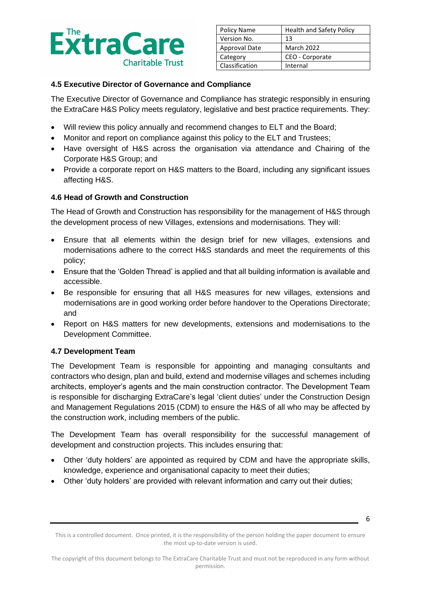

| Policy Name    | <b>Health and Safety Policy</b> |
|----------------|---------------------------------|
| Version No.    | 13                              |
| Approval Date  | March 2022                      |
| Category       | CEO - Corporate                 |
| Classification | Internal                        |

#### **4.5 Executive Director of Governance and Compliance**

The Executive Director of Governance and Compliance has strategic responsibly in ensuring the ExtraCare H&S Policy meets regulatory, legislative and best practice requirements. They:

- Will review this policy annually and recommend changes to ELT and the Board;
- Monitor and report on compliance against this policy to the ELT and Trustees;
- Have oversight of H&S across the organisation via attendance and Chairing of the Corporate H&S Group; and
- Provide a corporate report on H&S matters to the Board, including any significant issues affecting H&S.

#### **4.6 Head of Growth and Construction**

The Head of Growth and Construction has responsibility for the management of H&S through the development process of new Villages, extensions and modernisations. They will:

- Ensure that all elements within the design brief for new villages, extensions and modernisations adhere to the correct H&S standards and meet the requirements of this policy;
- Ensure that the 'Golden Thread' is applied and that all building information is available and accessible.
- Be responsible for ensuring that all H&S measures for new villages, extensions and modernisations are in good working order before handover to the Operations Directorate; and
- Report on H&S matters for new developments, extensions and modernisations to the Development Committee.

### **4.7 Development Team**

The Development Team is responsible for appointing and managing consultants and contractors who design, plan and build, extend and modernise villages and schemes including architects, employer's agents and the main construction contractor. The Development Team is responsible for discharging ExtraCare's legal 'client duties' under the Construction Design and Management Regulations 2015 (CDM) to ensure the H&S of all who may be affected by the construction work, including members of the public.

The Development Team has overall responsibility for the successful management of development and construction projects. This includes ensuring that:

- Other 'duty holders' are appointed as required by CDM and have the appropriate skills, knowledge, experience and organisational capacity to meet their duties;
- Other 'duty holders' are provided with relevant information and carry out their duties;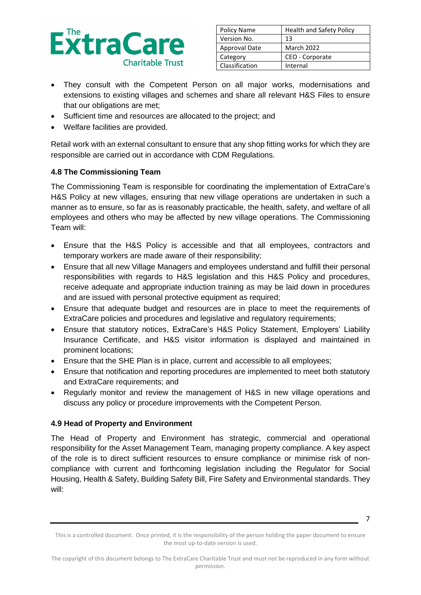

| Policy Name    | <b>Health and Safety Policy</b> |
|----------------|---------------------------------|
| Version No.    | 13                              |
| Approval Date  | <b>March 2022</b>               |
| Category       | CEO - Corporate                 |
| Classification | Internal                        |

- They consult with the Competent Person on all major works, modernisations and extensions to existing villages and schemes and share all relevant H&S Files to ensure that our obligations are met;
- Sufficient time and resources are allocated to the project; and
- Welfare facilities are provided.

Retail work with an external consultant to ensure that any shop fitting works for which they are responsible are carried out in accordance with CDM Regulations.

#### **4.8 The Commissioning Team**

The Commissioning Team is responsible for coordinating the implementation of ExtraCare's H&S Policy at new villages, ensuring that new village operations are undertaken in such a manner as to ensure, so far as is reasonably practicable, the health, safety, and welfare of all employees and others who may be affected by new village operations. The Commissioning Team will:

- Ensure that the H&S Policy is accessible and that all employees, contractors and temporary workers are made aware of their responsibility;
- Ensure that all new Village Managers and employees understand and fulfill their personal responsibilities with regards to H&S legislation and this H&S Policy and procedures, receive adequate and appropriate induction training as may be laid down in procedures and are issued with personal protective equipment as required;
- Ensure that adequate budget and resources are in place to meet the requirements of ExtraCare policies and procedures and legislative and regulatory requirements;
- Ensure that statutory notices, ExtraCare's H&S Policy Statement, Employers' Liability Insurance Certificate, and H&S visitor information is displayed and maintained in prominent locations;
- Ensure that the SHE Plan is in place, current and accessible to all employees;
- Ensure that notification and reporting procedures are implemented to meet both statutory and ExtraCare requirements; and
- Regularly monitor and review the management of H&S in new village operations and discuss any policy or procedure improvements with the Competent Person.

### **4.9 Head of Property and Environment**

The Head of Property and Environment has strategic, commercial and operational responsibility for the Asset Management Team, managing property compliance. A key aspect of the role is to direct sufficient resources to ensure compliance or minimise risk of noncompliance with current and forthcoming legislation including the Regulator for Social Housing, Health & Safety, Building Safety Bill, Fire Safety and Environmental standards. They will:

<sup>7</sup>

This is a controlled document. Once printed, it is the responsibility of the person holding the paper document to ensure the most up-to-date version is used.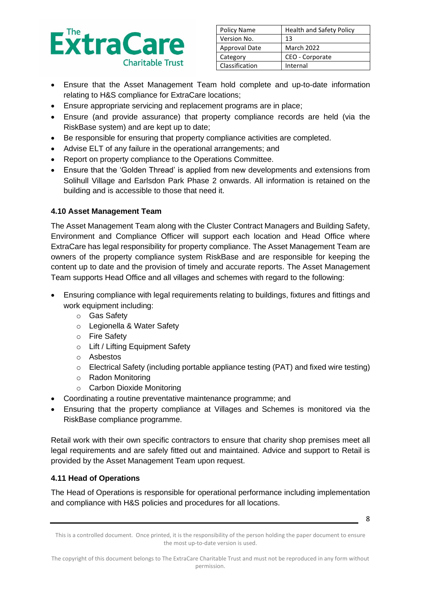

| Policy Name          | <b>Health and Safety Policy</b> |
|----------------------|---------------------------------|
| Version No.          | 13                              |
| <b>Approval Date</b> | <b>March 2022</b>               |
| Category             | CEO - Corporate                 |
| Classification       | Internal                        |

- Ensure that the Asset Management Team hold complete and up-to-date information relating to H&S compliance for ExtraCare locations;
- Ensure appropriate servicing and replacement programs are in place;
- Ensure (and provide assurance) that property compliance records are held (via the RiskBase system) and are kept up to date;
- Be responsible for ensuring that property compliance activities are completed.
- Advise ELT of any failure in the operational arrangements; and
- Report on property compliance to the Operations Committee.
- Ensure that the 'Golden Thread' is applied from new developments and extensions from Solihull Village and Earlsdon Park Phase 2 onwards. All information is retained on the building and is accessible to those that need it.

### **4.10 Asset Management Team**

The Asset Management Team along with the Cluster Contract Managers and Building Safety, Environment and Compliance Officer will support each location and Head Office where ExtraCare has legal responsibility for property compliance. The Asset Management Team are owners of the property compliance system RiskBase and are responsible for keeping the content up to date and the provision of timely and accurate reports. The Asset Management Team supports Head Office and all villages and schemes with regard to the following:

- Ensuring compliance with legal requirements relating to buildings, fixtures and fittings and work equipment including:
	- o Gas Safety
	- o Legionella & Water Safety
	- o Fire Safety
	- o Lift / Lifting Equipment Safety
	- o Asbestos
	- o Electrical Safety (including portable appliance testing (PAT) and fixed wire testing)
	- o Radon Monitoring
	- o Carbon Dioxide Monitoring
- Coordinating a routine preventative maintenance programme; and
- Ensuring that the property compliance at Villages and Schemes is monitored via the RiskBase compliance programme.

Retail work with their own specific contractors to ensure that charity shop premises meet all legal requirements and are safely fitted out and maintained. Advice and support to Retail is provided by the Asset Management Team upon request.

### **4.11 Head of Operations**

The Head of Operations is responsible for operational performance including implementation and compliance with H&S policies and procedures for all locations.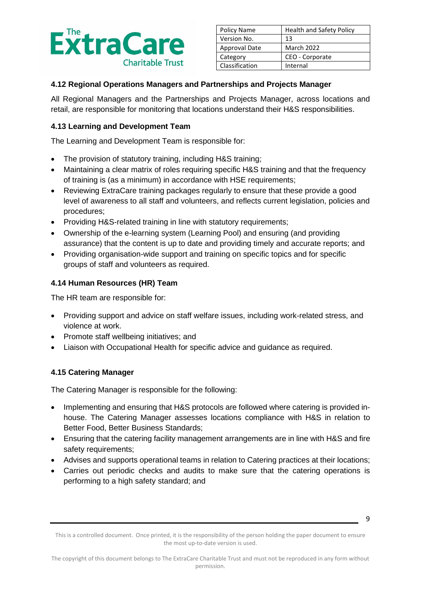

| Policy Name    | <b>Health and Safety Policy</b> |
|----------------|---------------------------------|
| Version No.    | 13                              |
| Approval Date  | <b>March 2022</b>               |
| Category       | CEO - Corporate                 |
| Classification | Internal                        |

### **4.12 Regional Operations Managers and Partnerships and Projects Manager**

All Regional Managers and the Partnerships and Projects Manager, across locations and retail, are responsible for monitoring that locations understand their H&S responsibilities.

#### **4.13 Learning and Development Team**

The Learning and Development Team is responsible for:

- The provision of statutory training, including H&S training;
- Maintaining a clear matrix of roles requiring specific H&S training and that the frequency of training is (as a minimum) in accordance with HSE requirements;
- Reviewing ExtraCare training packages regularly to ensure that these provide a good level of awareness to all staff and volunteers, and reflects current legislation, policies and procedures;
- Providing H&S-related training in line with statutory requirements;
- Ownership of the e-learning system (Learning Pool) and ensuring (and providing assurance) that the content is up to date and providing timely and accurate reports; and
- Providing organisation-wide support and training on specific topics and for specific groups of staff and volunteers as required.

#### **4.14 Human Resources (HR) Team**

The HR team are responsible for:

- Providing support and advice on staff welfare issues, including work-related stress, and violence at work.
- Promote staff wellbeing initiatives; and
- Liaison with Occupational Health for specific advice and guidance as required.

### **4.15 Catering Manager**

The Catering Manager is responsible for the following:

- Implementing and ensuring that H&S protocols are followed where catering is provided inhouse. The Catering Manager assesses locations compliance with H&S in relation to Better Food, Better Business Standards;
- Ensuring that the catering facility management arrangements are in line with H&S and fire safety requirements;
- Advises and supports operational teams in relation to Catering practices at their locations;
- Carries out periodic checks and audits to make sure that the catering operations is performing to a high safety standard; and

<sup>9</sup>

This is a controlled document. Once printed, it is the responsibility of the person holding the paper document to ensure the most up-to-date version is used.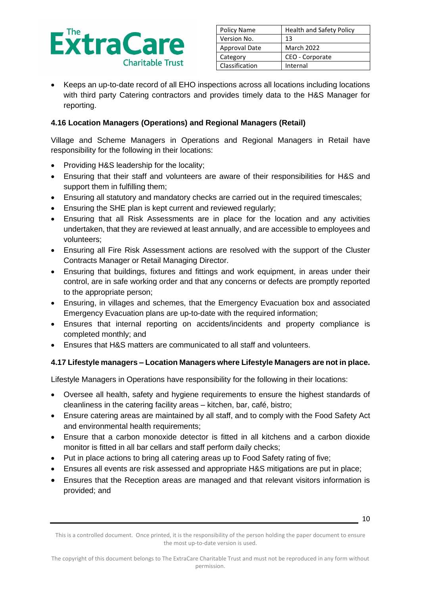

| Policy Name    | <b>Health and Safety Policy</b> |  |
|----------------|---------------------------------|--|
| Version No.    | 13                              |  |
| Approval Date  | <b>March 2022</b>               |  |
| Category       | CEO - Corporate                 |  |
| Classification | Internal                        |  |

• Keeps an up-to-date record of all EHO inspections across all locations including locations with third party Catering contractors and provides timely data to the H&S Manager for reporting.

### **4.16 Location Managers (Operations) and Regional Managers (Retail)**

Village and Scheme Managers in Operations and Regional Managers in Retail have responsibility for the following in their locations:

- Providing H&S leadership for the locality;
- Ensuring that their staff and volunteers are aware of their responsibilities for H&S and support them in fulfilling them;
- Ensuring all statutory and mandatory checks are carried out in the required timescales;
- Ensuring the SHE plan is kept current and reviewed regularly;
- Ensuring that all Risk Assessments are in place for the location and any activities undertaken, that they are reviewed at least annually, and are accessible to employees and volunteers;
- Ensuring all Fire Risk Assessment actions are resolved with the support of the Cluster Contracts Manager or Retail Managing Director.
- Ensuring that buildings, fixtures and fittings and work equipment, in areas under their control, are in safe working order and that any concerns or defects are promptly reported to the appropriate person;
- Ensuring, in villages and schemes, that the Emergency Evacuation box and associated Emergency Evacuation plans are up-to-date with the required information;
- Ensures that internal reporting on accidents/incidents and property compliance is completed monthly; and
- Ensures that H&S matters are communicated to all staff and volunteers.

### **4.17 Lifestyle managers – Location Managers where Lifestyle Managers are not in place.**

Lifestyle Managers in Operations have responsibility for the following in their locations:

- Oversee all health, safety and hygiene requirements to ensure the highest standards of cleanliness in the catering facility areas – kitchen, bar, café, bistro;
- Ensure catering areas are maintained by all staff, and to comply with the Food Safety Act and environmental health requirements;
- Ensure that a carbon monoxide detector is fitted in all kitchens and a carbon dioxide monitor is fitted in all bar cellars and staff perform daily checks;
- Put in place actions to bring all catering areas up to Food Safety rating of five;
- Ensures all events are risk assessed and appropriate H&S mitigations are put in place;
- Ensures that the Reception areas are managed and that relevant visitors information is provided; and

This is a controlled document. Once printed, it is the responsibility of the person holding the paper document to ensure the most up-to-date version is used.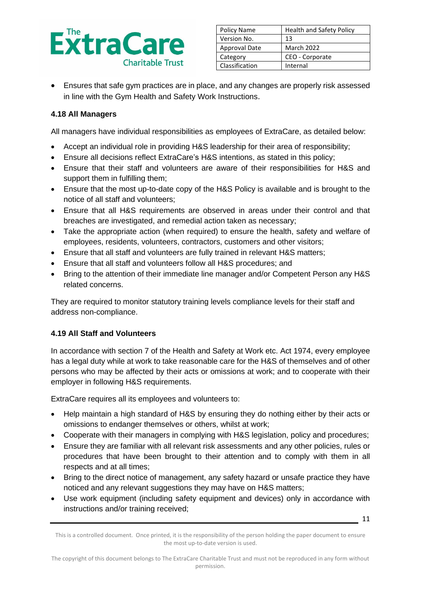

| Policy Name          | <b>Health and Safety Policy</b> |  |
|----------------------|---------------------------------|--|
| Version No.          | 13                              |  |
| <b>Approval Date</b> | <b>March 2022</b>               |  |
| Category             | CEO - Corporate                 |  |
| Classification       | Internal                        |  |

• Ensures that safe gym practices are in place, and any changes are properly risk assessed in line with the Gym Health and Safety Work Instructions.

#### **4.18 All Managers**

All managers have individual responsibilities as employees of ExtraCare, as detailed below:

- Accept an individual role in providing H&S leadership for their area of responsibility;
- Ensure all decisions reflect ExtraCare's H&S intentions, as stated in this policy;
- Ensure that their staff and volunteers are aware of their responsibilities for H&S and support them in fulfilling them;
- Ensure that the most up-to-date copy of the H&S Policy is available and is brought to the notice of all staff and volunteers;
- Ensure that all H&S requirements are observed in areas under their control and that breaches are investigated, and remedial action taken as necessary;
- Take the appropriate action (when required) to ensure the health, safety and welfare of employees, residents, volunteers, contractors, customers and other visitors;
- Ensure that all staff and volunteers are fully trained in relevant H&S matters;
- Ensure that all staff and volunteers follow all H&S procedures; and
- Bring to the attention of their immediate line manager and/or Competent Person any H&S related concerns.

They are required to monitor statutory training levels compliance levels for their staff and address non-compliance.

#### **4.19 All Staff and Volunteers**

In accordance with section 7 of the Health and Safety at Work etc. Act 1974, every employee has a legal duty while at work to take reasonable care for the H&S of themselves and of other persons who may be affected by their acts or omissions at work; and to cooperate with their employer in following H&S requirements.

ExtraCare requires all its employees and volunteers to:

- Help maintain a high standard of H&S by ensuring they do nothing either by their acts or omissions to endanger themselves or others, whilst at work;
- Cooperate with their managers in complying with H&S legislation, policy and procedures;
- Ensure they are familiar with all relevant risk assessments and any other policies, rules or procedures that have been brought to their attention and to comply with them in all respects and at all times;
- Bring to the direct notice of management, any safety hazard or unsafe practice they have noticed and any relevant suggestions they may have on H&S matters;
- Use work equipment (including safety equipment and devices) only in accordance with instructions and/or training received;

11

This is a controlled document. Once printed, it is the responsibility of the person holding the paper document to ensure the most up-to-date version is used.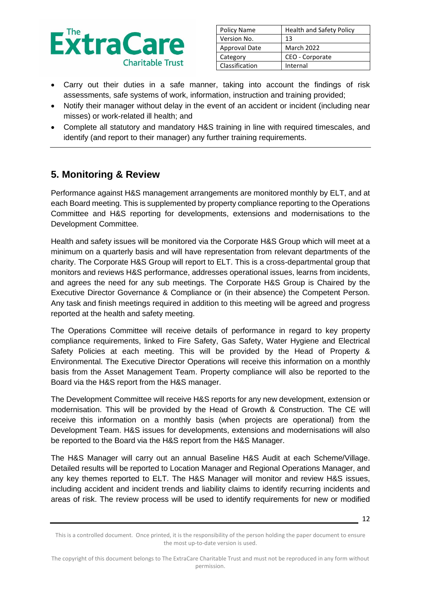

| Policy Name          | <b>Health and Safety Policy</b> |  |
|----------------------|---------------------------------|--|
| Version No.          | 13                              |  |
| <b>Approval Date</b> | <b>March 2022</b>               |  |
| Category             | CEO - Corporate                 |  |
| Classification       | Internal                        |  |

- Carry out their duties in a safe manner, taking into account the findings of risk assessments, safe systems of work, information, instruction and training provided;
- Notify their manager without delay in the event of an accident or incident (including near misses) or work-related ill health; and
- Complete all statutory and mandatory H&S training in line with required timescales, and identify (and report to their manager) any further training requirements.

## **5. Monitoring & Review**

Performance against H&S management arrangements are monitored monthly by ELT, and at each Board meeting. This is supplemented by property compliance reporting to the Operations Committee and H&S reporting for developments, extensions and modernisations to the Development Committee.

Health and safety issues will be monitored via the Corporate H&S Group which will meet at a minimum on a quarterly basis and will have representation from relevant departments of the charity. The Corporate H&S Group will report to ELT. This is a cross-departmental group that monitors and reviews H&S performance, addresses operational issues, learns from incidents, and agrees the need for any sub meetings. The Corporate H&S Group is Chaired by the Executive Director Governance & Compliance or (in their absence) the Competent Person. Any task and finish meetings required in addition to this meeting will be agreed and progress reported at the health and safety meeting.

The Operations Committee will receive details of performance in regard to key property compliance requirements, linked to Fire Safety, Gas Safety, Water Hygiene and Electrical Safety Policies at each meeting. This will be provided by the Head of Property & Environmental. The Executive Director Operations will receive this information on a monthly basis from the Asset Management Team. Property compliance will also be reported to the Board via the H&S report from the H&S manager.

The Development Committee will receive H&S reports for any new development, extension or modernisation. This will be provided by the Head of Growth & Construction. The CE will receive this information on a monthly basis (when projects are operational) from the Development Team. H&S issues for developments, extensions and modernisations will also be reported to the Board via the H&S report from the H&S Manager.

The H&S Manager will carry out an annual Baseline H&S Audit at each Scheme/Village. Detailed results will be reported to Location Manager and Regional Operations Manager, and any key themes reported to ELT. The H&S Manager will monitor and review H&S issues, including accident and incident trends and liability claims to identify recurring incidents and areas of risk. The review process will be used to identify requirements for new or modified

This is a controlled document. Once printed, it is the responsibility of the person holding the paper document to ensure the most up-to-date version is used.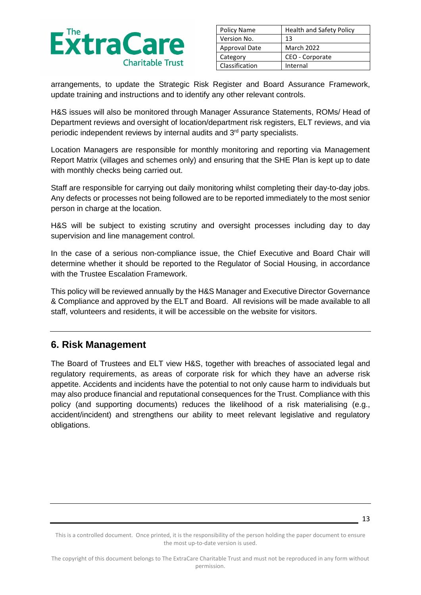

| Policy Name    | <b>Health and Safety Policy</b> |  |
|----------------|---------------------------------|--|
| Version No.    | 13                              |  |
| Approval Date  | <b>March 2022</b>               |  |
| Category       | CEO - Corporate                 |  |
| Classification | Internal                        |  |

arrangements, to update the Strategic Risk Register and Board Assurance Framework, update training and instructions and to identify any other relevant controls.

H&S issues will also be monitored through Manager Assurance Statements, ROMs/ Head of Department reviews and oversight of location/department risk registers, ELT reviews, and via periodic independent reviews by internal audits and 3rd party specialists.

Location Managers are responsible for monthly monitoring and reporting via Management Report Matrix (villages and schemes only) and ensuring that the SHE Plan is kept up to date with monthly checks being carried out.

Staff are responsible for carrying out daily monitoring whilst completing their day-to-day jobs. Any defects or processes not being followed are to be reported immediately to the most senior person in charge at the location.

H&S will be subject to existing scrutiny and oversight processes including day to day supervision and line management control.

In the case of a serious non-compliance issue, the Chief Executive and Board Chair will determine whether it should be reported to the Regulator of Social Housing, in accordance with the Trustee Escalation Framework.

This policy will be reviewed annually by the H&S Manager and Executive Director Governance & Compliance and approved by the ELT and Board. All revisions will be made available to all staff, volunteers and residents, it will be accessible on the website for visitors.

## **6. Risk Management**

The Board of Trustees and ELT view H&S, together with breaches of associated legal and regulatory requirements, as areas of corporate risk for which they have an adverse risk appetite. Accidents and incidents have the potential to not only cause harm to individuals but may also produce financial and reputational consequences for the Trust. Compliance with this policy (and supporting documents) reduces the likelihood of a risk materialising (e.g., accident/incident) and strengthens our ability to meet relevant legislative and regulatory obligations.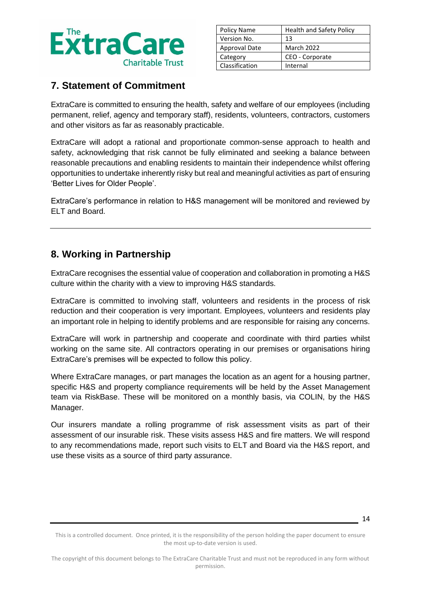

| Policy Name          | <b>Health and Safety Policy</b> |  |
|----------------------|---------------------------------|--|
| Version No.          | 13                              |  |
| <b>Approval Date</b> | <b>March 2022</b>               |  |
| Category             | CEO - Corporate                 |  |
| Classification       | Internal                        |  |

# **7. Statement of Commitment**

ExtraCare is committed to ensuring the health, safety and welfare of our employees (including permanent, relief, agency and temporary staff), residents, volunteers, contractors, customers and other visitors as far as reasonably practicable.

ExtraCare will adopt a rational and proportionate common-sense approach to health and safety, acknowledging that risk cannot be fully eliminated and seeking a balance between reasonable precautions and enabling residents to maintain their independence whilst offering opportunities to undertake inherently risky but real and meaningful activities as part of ensuring 'Better Lives for Older People'.

ExtraCare's performance in relation to H&S management will be monitored and reviewed by ELT and Board.

# **8. Working in Partnership**

ExtraCare recognises the essential value of cooperation and collaboration in promoting a H&S culture within the charity with a view to improving H&S standards.

ExtraCare is committed to involving staff, volunteers and residents in the process of risk reduction and their cooperation is very important. Employees, volunteers and residents play an important role in helping to identify problems and are responsible for raising any concerns.

ExtraCare will work in partnership and cooperate and coordinate with third parties whilst working on the same site. All contractors operating in our premises or organisations hiring ExtraCare's premises will be expected to follow this policy.

Where ExtraCare manages, or part manages the location as an agent for a housing partner, specific H&S and property compliance requirements will be held by the Asset Management team via RiskBase. These will be monitored on a monthly basis, via COLIN, by the H&S Manager.

Our insurers mandate a rolling programme of risk assessment visits as part of their assessment of our insurable risk. These visits assess H&S and fire matters. We will respond to any recommendations made, report such visits to ELT and Board via the H&S report, and use these visits as a source of third party assurance.

<sup>14</sup>

This is a controlled document. Once printed, it is the responsibility of the person holding the paper document to ensure the most up-to-date version is used.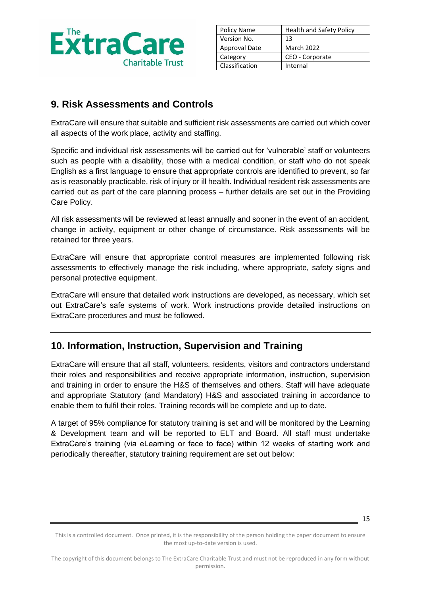

| Policy Name    | <b>Health and Safety Policy</b> |  |
|----------------|---------------------------------|--|
| Version No.    | 13                              |  |
| Approval Date  | March 2022                      |  |
| Category       | CEO - Corporate                 |  |
| Classification | Internal                        |  |

# **9. Risk Assessments and Controls**

ExtraCare will ensure that suitable and sufficient risk assessments are carried out which cover all aspects of the work place, activity and staffing.

Specific and individual risk assessments will be carried out for 'vulnerable' staff or volunteers such as people with a disability, those with a medical condition, or staff who do not speak English as a first language to ensure that appropriate controls are identified to prevent, so far as is reasonably practicable, risk of injury or ill health. Individual resident risk assessments are carried out as part of the care planning process – further details are set out in the Providing Care Policy.

All risk assessments will be reviewed at least annually and sooner in the event of an accident, change in activity, equipment or other change of circumstance. Risk assessments will be retained for three years.

ExtraCare will ensure that appropriate control measures are implemented following risk assessments to effectively manage the risk including, where appropriate, safety signs and personal protective equipment.

ExtraCare will ensure that detailed work instructions are developed, as necessary, which set out ExtraCare's safe systems of work. Work instructions provide detailed instructions on ExtraCare procedures and must be followed.

## **10. Information, Instruction, Supervision and Training**

ExtraCare will ensure that all staff, volunteers, residents, visitors and contractors understand their roles and responsibilities and receive appropriate information, instruction, supervision and training in order to ensure the H&S of themselves and others. Staff will have adequate and appropriate Statutory (and Mandatory) H&S and associated training in accordance to enable them to fulfil their roles. Training records will be complete and up to date.

A target of 95% compliance for statutory training is set and will be monitored by the Learning & Development team and will be reported to ELT and Board. All staff must undertake ExtraCare's training (via eLearning or face to face) within 12 weeks of starting work and periodically thereafter, statutory training requirement are set out below:

<sup>15</sup>

This is a controlled document. Once printed, it is the responsibility of the person holding the paper document to ensure the most up-to-date version is used.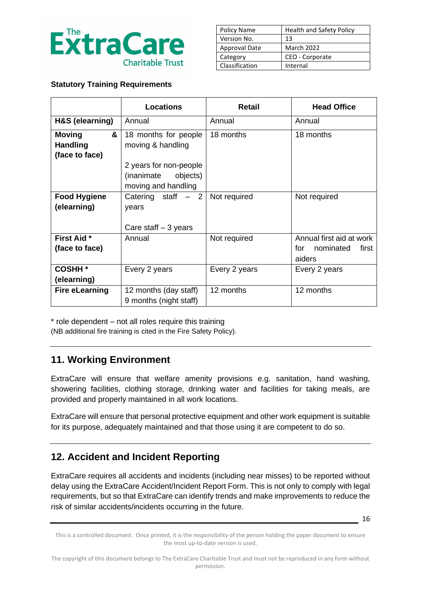

| Policy Name          | <b>Health and Safety Policy</b> |
|----------------------|---------------------------------|
| Version No.          | 13                              |
| <b>Approval Date</b> | <b>March 2022</b>               |
| Category             | CEO - Corporate                 |
| Classification       | Internal                        |

### **Statutory Training Requirements**

|                                                         | <b>Locations</b>                                                        | <b>Retail</b> | <b>Head Office</b>                                              |
|---------------------------------------------------------|-------------------------------------------------------------------------|---------------|-----------------------------------------------------------------|
| H&S (elearning)                                         | Annual                                                                  | Annual        | Annual                                                          |
| &<br><b>Moving</b><br><b>Handling</b><br>(face to face) | 18 months for people<br>moving & handling                               | 18 months     | 18 months                                                       |
|                                                         | 2 years for non-people<br>objects)<br>(inanimate<br>moving and handling |               |                                                                 |
| <b>Food Hygiene</b><br>(elearning)                      | Catering staff $-2$<br>years<br>Care staff $-3$ years                   | Not required  | Not required                                                    |
| <b>First Aid *</b><br>(face to face)                    | Annual                                                                  | Not required  | Annual first aid at work<br>nominated<br>first<br>for<br>aiders |
| <b>COSHH *</b><br>(elearning)                           | Every 2 years                                                           | Every 2 years | Every 2 years                                                   |
| <b>Fire eLearning</b>                                   | 12 months (day staff)<br>9 months (night staff)                         | 12 months     | 12 months                                                       |

\* role dependent – not all roles require this training

(NB additional fire training is cited in the Fire Safety Policy).

## **11. Working Environment**

ExtraCare will ensure that welfare amenity provisions e.g. sanitation, hand washing, showering facilities, clothing storage, drinking water and facilities for taking meals, are provided and properly maintained in all work locations.

ExtraCare will ensure that personal protective equipment and other work equipment is suitable for its purpose, adequately maintained and that those using it are competent to do so.

## **12. Accident and Incident Reporting**

ExtraCare requires all accidents and incidents (including near misses) to be reported without delay using the ExtraCare Accident/Incident Report Form. This is not only to comply with legal requirements, but so that ExtraCare can identify trends and make improvements to reduce the risk of similar accidents/incidents occurring in the future.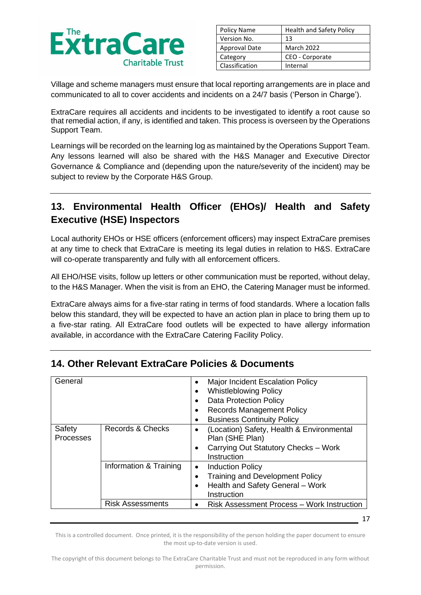

| Policy Name    | <b>Health and Safety Policy</b> |  |
|----------------|---------------------------------|--|
| Version No.    | 13                              |  |
| Approval Date  | <b>March 2022</b>               |  |
| Category       | CEO - Corporate                 |  |
| Classification | Internal                        |  |

Village and scheme managers must ensure that local reporting arrangements are in place and communicated to all to cover accidents and incidents on a 24/7 basis ('Person in Charge').

ExtraCare requires all accidents and incidents to be investigated to identify a root cause so that remedial action, if any, is identified and taken. This process is overseen by the Operations Support Team.

Learnings will be recorded on the learning log as maintained by the Operations Support Team. Any lessons learned will also be shared with the H&S Manager and Executive Director Governance & Compliance and (depending upon the nature/severity of the incident) may be subject to review by the Corporate H&S Group.

# **13. Environmental Health Officer (EHOs)/ Health and Safety Executive (HSE) Inspectors**

Local authority EHOs or HSE officers (enforcement officers) may inspect ExtraCare premises at any time to check that ExtraCare is meeting its legal duties in relation to H&S. ExtraCare will co-operate transparently and fully with all enforcement officers.

All EHO/HSE visits, follow up letters or other communication must be reported, without delay, to the H&S Manager. When the visit is from an EHO, the Catering Manager must be informed.

ExtraCare always aims for a five-star rating in terms of food standards. Where a location falls below this standard, they will be expected to have an action plan in place to bring them up to a five-star rating. All ExtraCare food outlets will be expected to have allergy information available, in accordance with the ExtraCare Catering Facility Policy.

| General                    |                         | Major Incident Escalation Policy<br>$\bullet$<br><b>Whistleblowing Policy</b><br>$\bullet$<br><b>Data Protection Policy</b><br>$\bullet$<br><b>Records Management Policy</b><br>$\bullet$<br><b>Business Continuity Policy</b><br>٠ |
|----------------------------|-------------------------|-------------------------------------------------------------------------------------------------------------------------------------------------------------------------------------------------------------------------------------|
| Safety<br><b>Processes</b> | Records & Checks        | (Location) Safety, Health & Environmental<br>$\bullet$<br>Plan (SHE Plan)<br>Carrying Out Statutory Checks - Work<br>$\bullet$<br>Instruction                                                                                       |
|                            | Information & Training  | <b>Induction Policy</b><br>$\bullet$<br>Training and Development Policy<br>Health and Safety General - Work<br>$\bullet$<br>Instruction                                                                                             |
|                            | <b>Risk Assessments</b> | Risk Assessment Process – Work Instruction<br>$\bullet$                                                                                                                                                                             |

# **14. Other Relevant ExtraCare Policies & Documents**

This is a controlled document. Once printed, it is the responsibility of the person holding the paper document to ensure the most up-to-date version is used.

17

The copyright of this document belongs to The ExtraCare Charitable Trust and must not be reproduced in any form without permission.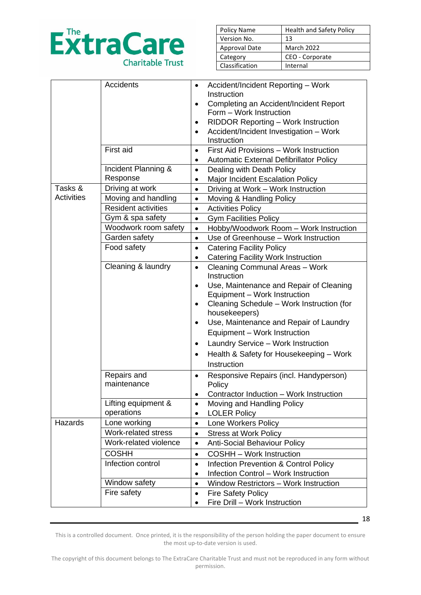

| Policy Name          | <b>Health and Safety Policy</b> |
|----------------------|---------------------------------|
| Version No.          | 13                              |
| <b>Approval Date</b> | <b>March 2022</b>               |
| Category             | CEO - Corporate                 |
| Classification       | Internal                        |

|                   | <b>Accidents</b>                | $\bullet$ | Accident/Incident Reporting - Work            |
|-------------------|---------------------------------|-----------|-----------------------------------------------|
|                   |                                 |           | Instruction                                   |
|                   |                                 | $\bullet$ | Completing an Accident/Incident Report        |
|                   |                                 |           | Form - Work Instruction                       |
|                   |                                 | ٠         | RIDDOR Reporting - Work Instruction           |
|                   |                                 |           | Accident/Incident Investigation - Work        |
|                   | First aid                       |           | Instruction                                   |
|                   |                                 | $\bullet$ | First Aid Provisions - Work Instruction       |
|                   |                                 |           | Automatic External Defibrillator Policy       |
|                   | Incident Planning &<br>Response | $\bullet$ | Dealing with Death Policy                     |
| Tasks &           | Driving at work                 | $\bullet$ | Major Incident Escalation Policy              |
| <b>Activities</b> | Moving and handling             | $\bullet$ | Driving at Work - Work Instruction            |
|                   | <b>Resident activities</b>      | $\bullet$ | Moving & Handling Policy                      |
|                   | Gym & spa safety                | $\bullet$ | <b>Activities Policy</b>                      |
|                   | Woodwork room safety            | $\bullet$ | <b>Gym Facilities Policy</b>                  |
|                   | Garden safety                   | $\bullet$ | Hobby/Woodwork Room - Work Instruction        |
|                   |                                 | $\bullet$ | Use of Greenhouse - Work Instruction          |
|                   | Food safety                     | $\bullet$ | <b>Catering Facility Policy</b>               |
|                   | Cleaning & laundry              |           | <b>Catering Facility Work Instruction</b>     |
|                   |                                 | $\bullet$ | Cleaning Communal Areas - Work<br>Instruction |
|                   |                                 | $\bullet$ | Use, Maintenance and Repair of Cleaning       |
|                   |                                 |           | Equipment - Work Instruction                  |
|                   |                                 | $\bullet$ | Cleaning Schedule - Work Instruction (for     |
|                   |                                 |           | housekeepers)                                 |
|                   |                                 | $\bullet$ | Use, Maintenance and Repair of Laundry        |
|                   |                                 |           | Equipment - Work Instruction                  |
|                   |                                 | $\bullet$ | Laundry Service - Work Instruction            |
|                   |                                 | $\bullet$ | Health & Safety for Housekeeping - Work       |
|                   |                                 |           | Instruction                                   |
|                   | Repairs and                     | $\bullet$ | Responsive Repairs (incl. Handyperson)        |
|                   | maintenance                     |           | Policy                                        |
|                   |                                 |           | Contractor Induction - Work Instruction       |
|                   | Lifting equipment &             | $\bullet$ | Moving and Handling Policy                    |
|                   | operations                      | $\bullet$ | <b>LOLER Policy</b>                           |
| Hazards           | Lone working                    | $\bullet$ | Lone Workers Policy                           |
|                   | Work-related stress             | $\bullet$ | <b>Stress at Work Policy</b>                  |
|                   | Work-related violence           | $\bullet$ | <b>Anti-Social Behaviour Policy</b>           |
|                   | <b>COSHH</b>                    | $\bullet$ | <b>COSHH - Work Instruction</b>               |
|                   | Infection control               | $\bullet$ | Infection Prevention & Control Policy         |
|                   |                                 | $\bullet$ | <b>Infection Control - Work Instruction</b>   |
|                   | Window safety                   | $\bullet$ | <b>Window Restrictors - Work Instruction</b>  |
|                   | Fire safety                     | $\bullet$ | <b>Fire Safety Policy</b>                     |
|                   |                                 |           | Fire Drill - Work Instruction                 |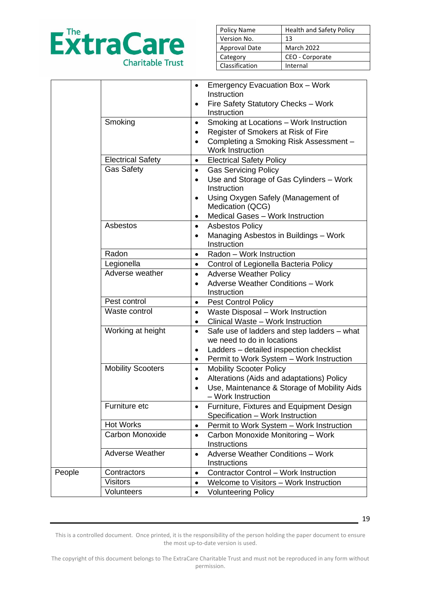

| Policy Name          | <b>Health and Safety Policy</b> |
|----------------------|---------------------------------|
| Version No.          | 13                              |
| <b>Approval Date</b> | <b>March 2022</b>               |
| Category             | CEO - Corporate                 |
| Classification       | Internal                        |

|        |                          | Emergency Evacuation Box - Work<br>$\bullet$<br>Instruction<br>Fire Safety Statutory Checks - Work<br>$\bullet$<br>Instruction                                                                                                  |
|--------|--------------------------|---------------------------------------------------------------------------------------------------------------------------------------------------------------------------------------------------------------------------------|
|        | Smoking                  | Smoking at Locations - Work Instruction<br>$\bullet$<br>Register of Smokers at Risk of Fire<br>$\bullet$<br>Completing a Smoking Risk Assessment -<br>$\bullet$<br><b>Work Instruction</b>                                      |
|        | <b>Electrical Safety</b> | <b>Electrical Safety Policy</b><br>$\bullet$                                                                                                                                                                                    |
|        | <b>Gas Safety</b>        | <b>Gas Servicing Policy</b><br>$\bullet$<br>Use and Storage of Gas Cylinders - Work<br>$\bullet$<br>Instruction<br>Using Oxygen Safely (Management of<br>$\bullet$<br>Medication (QCG)<br>Medical Gases - Work Instruction<br>٠ |
|        | Asbestos                 | <b>Asbestos Policy</b><br>$\bullet$<br>Managing Asbestos in Buildings - Work<br>$\bullet$<br>Instruction                                                                                                                        |
|        | Radon                    | Radon - Work Instruction<br>$\bullet$                                                                                                                                                                                           |
|        | Legionella               | Control of Legionella Bacteria Policy<br>$\bullet$                                                                                                                                                                              |
|        | Adverse weather          | <b>Adverse Weather Policy</b><br>$\bullet$<br><b>Adverse Weather Conditions - Work</b><br>$\bullet$<br>Instruction                                                                                                              |
|        | Pest control             | <b>Pest Control Policy</b><br>$\bullet$                                                                                                                                                                                         |
|        | Waste control            | Waste Disposal - Work Instruction<br>$\bullet$<br>Clinical Waste - Work Instruction<br>$\bullet$                                                                                                                                |
|        | Working at height        | Safe use of ladders and step ladders – what<br>$\bullet$<br>we need to do in locations<br>Ladders - detailed inspection checklist<br>$\bullet$<br>Permit to Work System - Work Instruction<br>$\bullet$                         |
|        | <b>Mobility Scooters</b> | <b>Mobility Scooter Policy</b><br>$\bullet$<br>Alterations (Aids and adaptations) Policy<br>$\bullet$<br>Use, Maintenance & Storage of Mobility Aids<br>$\bullet$<br>- Work Instruction                                         |
|        | Furniture etc            | Furniture, Fixtures and Equipment Design<br>$\bullet$<br>Specification - Work Instruction                                                                                                                                       |
|        | <b>Hot Works</b>         | Permit to Work System - Work Instruction<br>$\bullet$                                                                                                                                                                           |
|        | Carbon Monoxide          | Carbon Monoxide Monitoring - Work<br>$\bullet$<br>Instructions                                                                                                                                                                  |
|        | <b>Adverse Weather</b>   | <b>Adverse Weather Conditions - Work</b><br>$\bullet$<br>Instructions                                                                                                                                                           |
| People | Contractors              | <b>Contractor Control - Work Instruction</b><br>$\bullet$                                                                                                                                                                       |
|        | <b>Visitors</b>          | Welcome to Visitors - Work Instruction<br>$\bullet$                                                                                                                                                                             |
|        | <b>Volunteers</b>        | <b>Volunteering Policy</b><br>٠                                                                                                                                                                                                 |

This is a controlled document. Once printed, it is the responsibility of the person holding the paper document to ensure the most up-to-date version is used.

19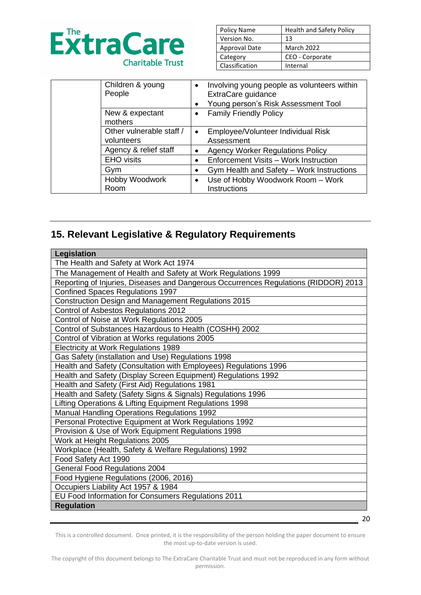

| Policy Name          | <b>Health and Safety Policy</b> |
|----------------------|---------------------------------|
| Version No.          | 13                              |
| <b>Approval Date</b> | <b>March 2022</b>               |
| Category             | CEO - Corporate                 |
| Classification       | Internal                        |

| Children & young<br>People             | Involving young people as volunteers within<br>$\bullet$<br>ExtraCare guidance<br>Young person's Risk Assessment Tool |
|----------------------------------------|-----------------------------------------------------------------------------------------------------------------------|
| New & expectant<br>mothers             | <b>Family Friendly Policy</b><br>$\bullet$                                                                            |
| Other vulnerable staff /<br>volunteers | Employee/Volunteer Individual Risk<br>$\bullet$<br>Assessment                                                         |
| Agency & relief staff                  | <b>Agency Worker Regulations Policy</b><br>$\bullet$                                                                  |
| <b>EHO</b> visits                      | Enforcement Visits - Work Instruction<br>$\bullet$                                                                    |
| Gym                                    | Gym Health and Safety - Work Instructions<br>$\bullet$                                                                |
| Hobby Woodwork<br>Room                 | Use of Hobby Woodwork Room - Work<br>$\bullet$<br>Instructions                                                        |

# **15. Relevant Legislative & Regulatory Requirements**

| <b>Legislation</b>                                                                  |  |  |
|-------------------------------------------------------------------------------------|--|--|
| The Health and Safety at Work Act 1974                                              |  |  |
| The Management of Health and Safety at Work Regulations 1999                        |  |  |
| Reporting of Injuries, Diseases and Dangerous Occurrences Regulations (RIDDOR) 2013 |  |  |
| <b>Confined Spaces Regulations 1997</b>                                             |  |  |
| Construction Design and Management Regulations 2015                                 |  |  |
| Control of Asbestos Regulations 2012                                                |  |  |
| Control of Noise at Work Regulations 2005                                           |  |  |
| Control of Substances Hazardous to Health (COSHH) 2002                              |  |  |
| Control of Vibration at Works regulations 2005                                      |  |  |
| Electricity at Work Regulations 1989                                                |  |  |
| Gas Safety (installation and Use) Regulations 1998                                  |  |  |
| Health and Safety (Consultation with Employees) Regulations 1996                    |  |  |
| Health and Safety (Display Screen Equipment) Regulations 1992                       |  |  |
| Health and Safety (First Aid) Regulations 1981                                      |  |  |
| Health and Safety (Safety Signs & Signals) Regulations 1996                         |  |  |
| Lifting Operations & Lifting Equipment Regulations 1998                             |  |  |
| <b>Manual Handling Operations Regulations 1992</b>                                  |  |  |
| Personal Protective Equipment at Work Regulations 1992                              |  |  |
| Provision & Use of Work Equipment Regulations 1998                                  |  |  |
| Work at Height Regulations 2005                                                     |  |  |
| Workplace (Health, Safety & Welfare Regulations) 1992                               |  |  |
| Food Safety Act 1990                                                                |  |  |
| <b>General Food Regulations 2004</b>                                                |  |  |
| Food Hygiene Regulations (2006, 2016)                                               |  |  |
| Occupiers Liability Act 1957 & 1984                                                 |  |  |
| EU Food Information for Consumers Regulations 2011                                  |  |  |
| <b>Regulation</b>                                                                   |  |  |

20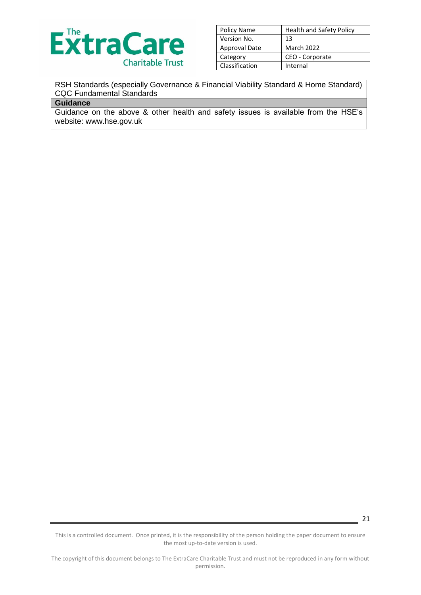

| Policy Name    | <b>Health and Safety Policy</b> |
|----------------|---------------------------------|
| Version No.    | 13                              |
| Approval Date  | <b>March 2022</b>               |
| Category       | CEO - Corporate                 |
| Classification | Internal                        |

### RSH Standards (especially Governance & Financial Viability Standard & Home Standard) CQC Fundamental Standards

#### **Guidance**

Guidance on the above & other health and safety issues is available from the HSE's website: www.hse.gov.uk